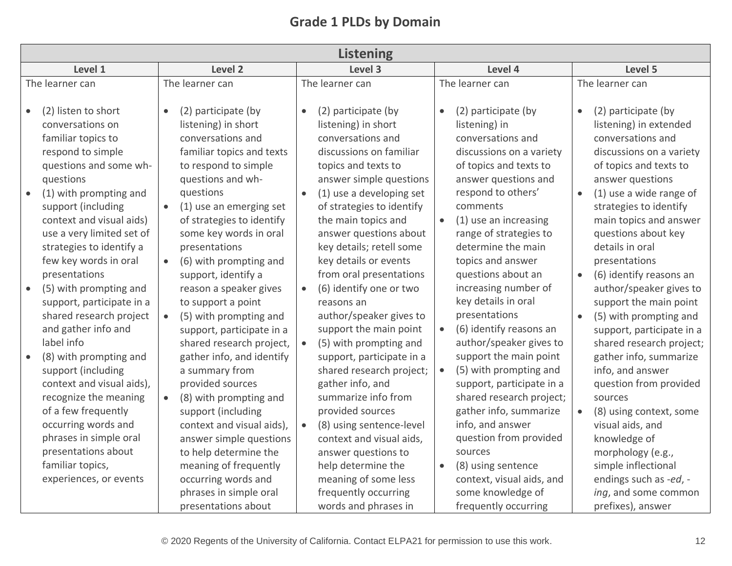## **Grade 1 PLDs by Domain**

|                        | <b>Listening</b>                                                                                                                                                                                                                                               |                                                                                                                                                                                                                                                                                                                |                        |                                                                                                                                                                                                                                                                                                   |                        |                                                                                                                                                                                                                                                                                              |                        |                                                                                                                                                                                                                                                                       |  |  |
|------------------------|----------------------------------------------------------------------------------------------------------------------------------------------------------------------------------------------------------------------------------------------------------------|----------------------------------------------------------------------------------------------------------------------------------------------------------------------------------------------------------------------------------------------------------------------------------------------------------------|------------------------|---------------------------------------------------------------------------------------------------------------------------------------------------------------------------------------------------------------------------------------------------------------------------------------------------|------------------------|----------------------------------------------------------------------------------------------------------------------------------------------------------------------------------------------------------------------------------------------------------------------------------------------|------------------------|-----------------------------------------------------------------------------------------------------------------------------------------------------------------------------------------------------------------------------------------------------------------------|--|--|
|                        | Level 1                                                                                                                                                                                                                                                        | Level 2                                                                                                                                                                                                                                                                                                        |                        | Level 3                                                                                                                                                                                                                                                                                           | Level 4                |                                                                                                                                                                                                                                                                                              | Level 5                |                                                                                                                                                                                                                                                                       |  |  |
| The learner can        |                                                                                                                                                                                                                                                                | The learner can                                                                                                                                                                                                                                                                                                | The learner can        |                                                                                                                                                                                                                                                                                                   |                        | The learner can                                                                                                                                                                                                                                                                              |                        | The learner can                                                                                                                                                                                                                                                       |  |  |
| $\bullet$<br>$\bullet$ | (2) listen to short<br>conversations on<br>familiar topics to<br>respond to simple<br>questions and some wh-<br>questions<br>(1) with prompting and<br>support (including<br>context and visual aids)<br>use a very limited set of<br>strategies to identify a | (2) participate (by<br>$\bullet$<br>listening) in short<br>conversations and<br>familiar topics and texts<br>to respond to simple<br>questions and wh-<br>questions<br>(1) use an emerging set<br>of strategies to identify<br>some key words in oral<br>presentations                                         | $\bullet$<br>$\bullet$ | (2) participate (by<br>listening) in short<br>conversations and<br>discussions on familiar<br>topics and texts to<br>answer simple questions<br>(1) use a developing set<br>of strategies to identify<br>the main topics and<br>answer questions about<br>key details; retell some                | $\bullet$<br>$\bullet$ | (2) participate (by<br>listening) in<br>conversations and<br>discussions on a variety<br>of topics and texts to<br>answer questions and<br>respond to others'<br>comments<br>(1) use an increasing<br>range of strategies to<br>determine the main                                           | $\bullet$<br>$\bullet$ | (2) participate (by<br>listening) in extended<br>conversations and<br>discussions on a variety<br>of topics and texts to<br>answer questions<br>(1) use a wide range of<br>strategies to identify<br>main topics and answer<br>questions about key<br>details in oral |  |  |
| $\bullet$              | few key words in oral<br>presentations<br>(5) with prompting and<br>support, participate in a<br>shared research project<br>and gather info and<br>label info                                                                                                  | (6) with prompting and<br>support, identify a<br>reason a speaker gives<br>to support a point<br>(5) with prompting and<br>support, participate in a<br>shared research project,                                                                                                                               | $\bullet$              | key details or events<br>from oral presentations<br>(6) identify one or two<br>reasons an<br>author/speaker gives to<br>support the main point<br>(5) with prompting and                                                                                                                          | $\bullet$              | topics and answer<br>questions about an<br>increasing number of<br>key details in oral<br>presentations<br>(6) identify reasons an<br>author/speaker gives to                                                                                                                                | $\bullet$<br>$\bullet$ | presentations<br>(6) identify reasons an<br>author/speaker gives to<br>support the main point<br>(5) with prompting and<br>support, participate in a<br>shared research project;                                                                                      |  |  |
| $\bullet$              | (8) with prompting and<br>support (including<br>context and visual aids),<br>recognize the meaning<br>of a few frequently<br>occurring words and<br>phrases in simple oral<br>presentations about<br>familiar topics,<br>experiences, or events                | gather info, and identify<br>a summary from<br>provided sources<br>(8) with prompting and<br>$\bullet$<br>support (including<br>context and visual aids),<br>answer simple questions<br>to help determine the<br>meaning of frequently<br>occurring words and<br>phrases in simple oral<br>presentations about |                        | support, participate in a<br>shared research project;<br>gather info, and<br>summarize info from<br>provided sources<br>(8) using sentence-level<br>context and visual aids,<br>answer questions to<br>help determine the<br>meaning of some less<br>frequently occurring<br>words and phrases in | $\bullet$              | support the main point<br>(5) with prompting and<br>support, participate in a<br>shared research project;<br>gather info, summarize<br>info, and answer<br>question from provided<br>sources<br>(8) using sentence<br>context, visual aids, and<br>some knowledge of<br>frequently occurring |                        | gather info, summarize<br>info, and answer<br>question from provided<br>sources<br>(8) using context, some<br>visual aids, and<br>knowledge of<br>morphology (e.g.,<br>simple inflectional<br>endings such as -ed, -<br>ing, and some common<br>prefixes), answer     |  |  |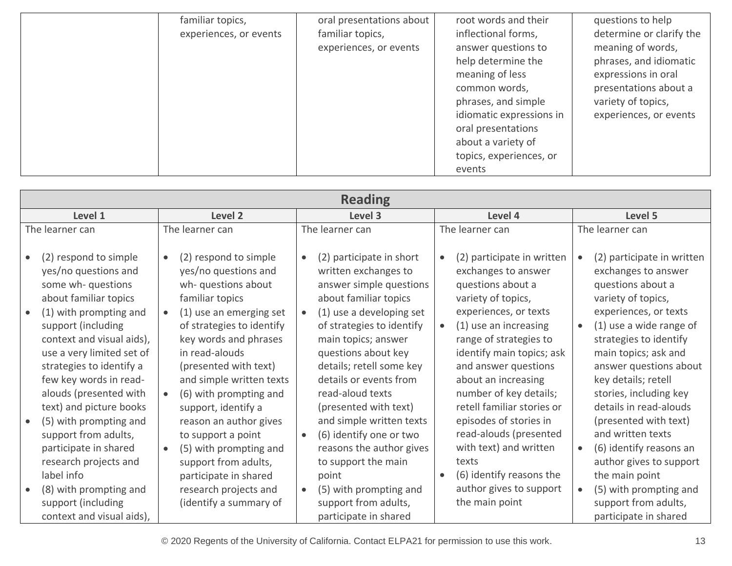| familiar topics,<br>experiences, or events | oral presentations about<br>familiar topics,<br>experiences, or events | root words and their<br>inflectional forms,<br>answer questions to<br>help determine the<br>meaning of less<br>common words,<br>phrases, and simple<br>idiomatic expressions in<br>oral presentations<br>about a variety of<br>topics, experiences, or | questions to help<br>determine or clarify the<br>meaning of words,<br>phrases, and idiomatic<br>expressions in oral<br>presentations about a<br>variety of topics,<br>experiences, or events |
|--------------------------------------------|------------------------------------------------------------------------|--------------------------------------------------------------------------------------------------------------------------------------------------------------------------------------------------------------------------------------------------------|----------------------------------------------------------------------------------------------------------------------------------------------------------------------------------------------|
|                                            |                                                                        | events                                                                                                                                                                                                                                                 |                                                                                                                                                                                              |

| <b>Reading</b>                                                                                                                                                                                                    |                                                                                                                                                                                                                    |                 |                                                                                                                                                                                                        |           |                                                                                                                                                                                                              |           |                                                                                                                                                                                                         |  |
|-------------------------------------------------------------------------------------------------------------------------------------------------------------------------------------------------------------------|--------------------------------------------------------------------------------------------------------------------------------------------------------------------------------------------------------------------|-----------------|--------------------------------------------------------------------------------------------------------------------------------------------------------------------------------------------------------|-----------|--------------------------------------------------------------------------------------------------------------------------------------------------------------------------------------------------------------|-----------|---------------------------------------------------------------------------------------------------------------------------------------------------------------------------------------------------------|--|
| Level 1                                                                                                                                                                                                           | Level 2                                                                                                                                                                                                            |                 | Level 3                                                                                                                                                                                                |           | Level 4                                                                                                                                                                                                      | Level 5   |                                                                                                                                                                                                         |  |
| The learner can                                                                                                                                                                                                   | The learner can                                                                                                                                                                                                    | The learner can |                                                                                                                                                                                                        |           | The learner can                                                                                                                                                                                              |           | The learner can                                                                                                                                                                                         |  |
| (2) respond to simple<br>yes/no questions and<br>some wh- questions<br>about familiar topics                                                                                                                      | (2) respond to simple<br>$\bullet$<br>yes/no questions and<br>wh- questions about<br>familiar topics                                                                                                               |                 | (2) participate in short<br>written exchanges to<br>answer simple questions<br>about familiar topics                                                                                                   |           | (2) participate in written<br>exchanges to answer<br>questions about a<br>variety of topics,                                                                                                                 |           | (2) participate in written<br>exchanges to answer<br>questions about a<br>variety of topics,                                                                                                            |  |
| (1) with prompting and<br>support (including<br>context and visual aids),<br>use a very limited set of<br>strategies to identify a<br>few key words in read-<br>alouds (presented with<br>text) and picture books | (1) use an emerging set<br>$\bullet$<br>of strategies to identify<br>key words and phrases<br>in read-alouds<br>(presented with text)<br>and simple written texts<br>(6) with prompting and<br>support, identify a |                 | (1) use a developing set<br>of strategies to identify<br>main topics; answer<br>questions about key<br>details; retell some key<br>details or events from<br>read-aloud texts<br>(presented with text) |           | experiences, or texts<br>(1) use an increasing<br>range of strategies to<br>identify main topics; ask<br>and answer questions<br>about an increasing<br>number of key details;<br>retell familiar stories or | $\bullet$ | experiences, or texts<br>(1) use a wide range of<br>strategies to identify<br>main topics; ask and<br>answer questions about<br>key details; retell<br>stories, including key<br>details in read-alouds |  |
| (5) with prompting and<br>support from adults,<br>participate in shared<br>research projects and<br>label info                                                                                                    | reason an author gives<br>to support a point<br>(5) with prompting and<br>$\bullet$<br>support from adults,<br>participate in shared                                                                               | $\bullet$       | and simple written texts<br>(6) identify one or two<br>reasons the author gives<br>to support the main<br>point                                                                                        | $\bullet$ | episodes of stories in<br>read-alouds (presented<br>with text) and written<br>texts<br>(6) identify reasons the                                                                                              | $\bullet$ | (presented with text)<br>and written texts<br>(6) identify reasons an<br>author gives to support<br>the main point                                                                                      |  |
| (8) with prompting and<br>support (including<br>context and visual aids),                                                                                                                                         | research projects and<br>(identify a summary of                                                                                                                                                                    | $\bullet$       | (5) with prompting and<br>support from adults,<br>participate in shared                                                                                                                                |           | author gives to support<br>the main point                                                                                                                                                                    | $\bullet$ | (5) with prompting and<br>support from adults,<br>participate in shared                                                                                                                                 |  |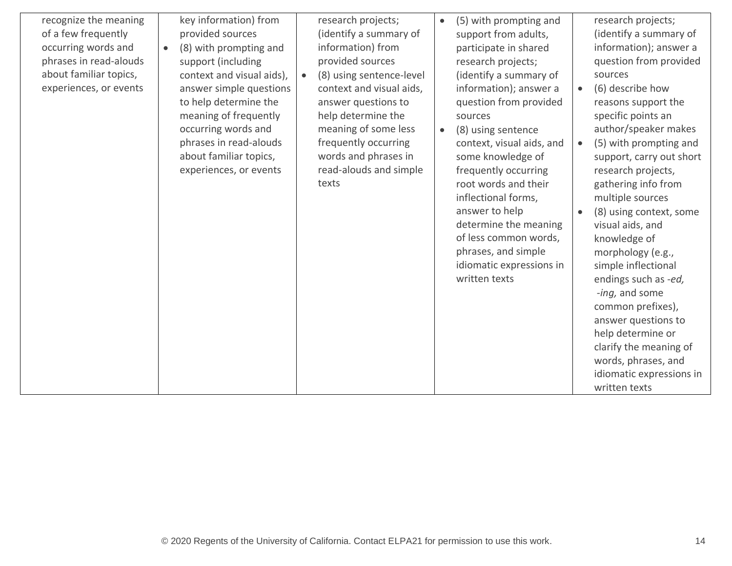| recognize the meaning<br>of a few frequently<br>occurring words and<br>phrases in read-alouds<br>about familiar topics,<br>experiences, or events | key information) from<br>provided sources<br>(8) with prompting and<br>$\bullet$<br>support (including<br>context and visual aids),<br>answer simple questions<br>to help determine the<br>meaning of frequently<br>occurring words and<br>phrases in read-alouds<br>about familiar topics,<br>experiences, or events | research projects;<br>(identify a summary of<br>information) from<br>provided sources<br>(8) using sentence-level<br>$\bullet$<br>context and visual aids,<br>answer questions to<br>help determine the<br>meaning of some less<br>frequently occurring<br>words and phrases in<br>read-alouds and simple<br>texts | (5) with prompting and<br>support from adults,<br>participate in shared<br>research projects;<br>(identify a summary of<br>information); answer a<br>question from provided<br>sources<br>(8) using sentence<br>$\bullet$<br>context, visual aids, and<br>some knowledge of<br>frequently occurring<br>root words and their<br>inflectional forms,<br>answer to help<br>determine the meaning<br>of less common words,<br>phrases, and simple<br>idiomatic expressions in<br>written texts | research projects;<br>(identify a summary of<br>information); answer a<br>question from provided<br>sources<br>(6) describe how<br>$\bullet$<br>reasons support the<br>specific points an<br>author/speaker makes<br>(5) with prompting and<br>$\bullet$<br>support, carry out short<br>research projects,<br>gathering info from<br>multiple sources<br>(8) using context, some<br>visual aids, and<br>knowledge of<br>morphology (e.g.,<br>simple inflectional<br>endings such as -ed,<br>-ing, and some<br>common prefixes),<br>answer questions to<br>help determine or<br>clarify the meaning of<br>words, phrases, and<br>idiomatic expressions in<br>written texts |
|---------------------------------------------------------------------------------------------------------------------------------------------------|-----------------------------------------------------------------------------------------------------------------------------------------------------------------------------------------------------------------------------------------------------------------------------------------------------------------------|--------------------------------------------------------------------------------------------------------------------------------------------------------------------------------------------------------------------------------------------------------------------------------------------------------------------|--------------------------------------------------------------------------------------------------------------------------------------------------------------------------------------------------------------------------------------------------------------------------------------------------------------------------------------------------------------------------------------------------------------------------------------------------------------------------------------------|---------------------------------------------------------------------------------------------------------------------------------------------------------------------------------------------------------------------------------------------------------------------------------------------------------------------------------------------------------------------------------------------------------------------------------------------------------------------------------------------------------------------------------------------------------------------------------------------------------------------------------------------------------------------------|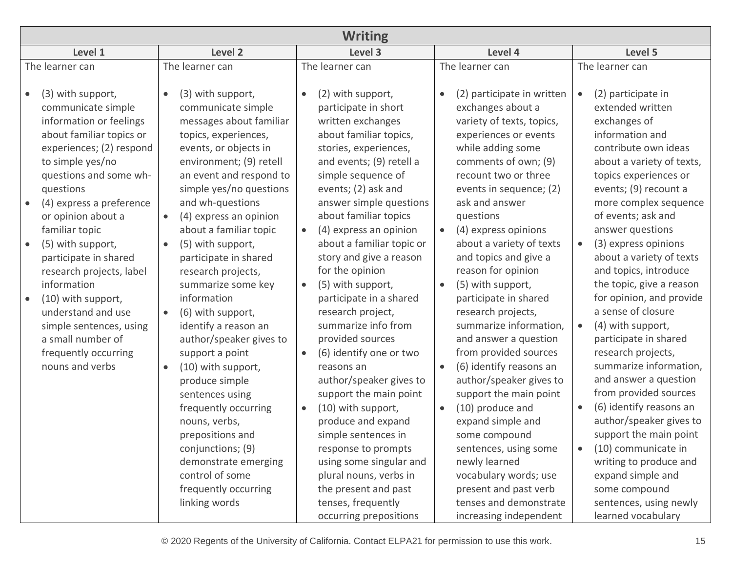| <b>Writing</b>                                                                                                                                                                                                                                                                                                                                                                                                                                                                                                      |                                                                                                                                                                                                                                                                                                                                                                                                                                                                                                                                                                                                                                                                                                                            |                                                                                                                                                                                                                                                                                                                                                                                                                                                                                                                                                                                                                                                                                                                                                                                 |                                                                                                                                                                                                                                                                                                                                                                                                                                                                                                                                                                                                                                                                                                                                                                                                |                                                                                                                                                                                                                                                                                                                                                                                                                                                                                                                                                                                                                                                                                                                                                                                                                                  |  |  |  |  |  |  |
|---------------------------------------------------------------------------------------------------------------------------------------------------------------------------------------------------------------------------------------------------------------------------------------------------------------------------------------------------------------------------------------------------------------------------------------------------------------------------------------------------------------------|----------------------------------------------------------------------------------------------------------------------------------------------------------------------------------------------------------------------------------------------------------------------------------------------------------------------------------------------------------------------------------------------------------------------------------------------------------------------------------------------------------------------------------------------------------------------------------------------------------------------------------------------------------------------------------------------------------------------------|---------------------------------------------------------------------------------------------------------------------------------------------------------------------------------------------------------------------------------------------------------------------------------------------------------------------------------------------------------------------------------------------------------------------------------------------------------------------------------------------------------------------------------------------------------------------------------------------------------------------------------------------------------------------------------------------------------------------------------------------------------------------------------|------------------------------------------------------------------------------------------------------------------------------------------------------------------------------------------------------------------------------------------------------------------------------------------------------------------------------------------------------------------------------------------------------------------------------------------------------------------------------------------------------------------------------------------------------------------------------------------------------------------------------------------------------------------------------------------------------------------------------------------------------------------------------------------------|----------------------------------------------------------------------------------------------------------------------------------------------------------------------------------------------------------------------------------------------------------------------------------------------------------------------------------------------------------------------------------------------------------------------------------------------------------------------------------------------------------------------------------------------------------------------------------------------------------------------------------------------------------------------------------------------------------------------------------------------------------------------------------------------------------------------------------|--|--|--|--|--|--|
| Level 1                                                                                                                                                                                                                                                                                                                                                                                                                                                                                                             | Level 2                                                                                                                                                                                                                                                                                                                                                                                                                                                                                                                                                                                                                                                                                                                    | Level 3                                                                                                                                                                                                                                                                                                                                                                                                                                                                                                                                                                                                                                                                                                                                                                         | Level 4                                                                                                                                                                                                                                                                                                                                                                                                                                                                                                                                                                                                                                                                                                                                                                                        | Level 5                                                                                                                                                                                                                                                                                                                                                                                                                                                                                                                                                                                                                                                                                                                                                                                                                          |  |  |  |  |  |  |
| The learner can                                                                                                                                                                                                                                                                                                                                                                                                                                                                                                     | The learner can                                                                                                                                                                                                                                                                                                                                                                                                                                                                                                                                                                                                                                                                                                            | The learner can                                                                                                                                                                                                                                                                                                                                                                                                                                                                                                                                                                                                                                                                                                                                                                 | The learner can                                                                                                                                                                                                                                                                                                                                                                                                                                                                                                                                                                                                                                                                                                                                                                                | The learner can                                                                                                                                                                                                                                                                                                                                                                                                                                                                                                                                                                                                                                                                                                                                                                                                                  |  |  |  |  |  |  |
| (3) with support,<br>$\bullet$<br>communicate simple<br>information or feelings<br>about familiar topics or<br>experiences; (2) respond<br>to simple yes/no<br>questions and some wh-<br>questions<br>(4) express a preference<br>or opinion about a<br>familiar topic<br>(5) with support,<br>$\bullet$<br>participate in shared<br>research projects, label<br>information<br>(10) with support,<br>understand and use<br>simple sentences, using<br>a small number of<br>frequently occurring<br>nouns and verbs | (3) with support,<br>communicate simple<br>messages about familiar<br>topics, experiences,<br>events, or objects in<br>environment; (9) retell<br>an event and respond to<br>simple yes/no questions<br>and wh-questions<br>(4) express an opinion<br>about a familiar topic<br>(5) with support,<br>participate in shared<br>research projects,<br>summarize some key<br>information<br>(6) with support,<br>$\bullet$<br>identify a reason an<br>author/speaker gives to<br>support a point<br>(10) with support,<br>$\bullet$<br>produce simple<br>sentences using<br>frequently occurring<br>nouns, verbs,<br>prepositions and<br>conjunctions; (9)<br>demonstrate emerging<br>control of some<br>frequently occurring | (2) with support,<br>participate in short<br>written exchanges<br>about familiar topics,<br>stories, experiences,<br>and events; (9) retell a<br>simple sequence of<br>events; (2) ask and<br>answer simple questions<br>about familiar topics<br>(4) express an opinion<br>$\bullet$<br>about a familiar topic or<br>story and give a reason<br>for the opinion<br>(5) with support,<br>$\bullet$<br>participate in a shared<br>research project,<br>summarize info from<br>provided sources<br>(6) identify one or two<br>reasons an<br>author/speaker gives to<br>support the main point<br>(10) with support,<br>$\bullet$<br>produce and expand<br>simple sentences in<br>response to prompts<br>using some singular and<br>plural nouns, verbs in<br>the present and past | (2) participate in written<br>$\bullet$<br>exchanges about a<br>variety of texts, topics,<br>experiences or events<br>while adding some<br>comments of own; (9)<br>recount two or three<br>events in sequence; (2)<br>ask and answer<br>questions<br>(4) express opinions<br>$\bullet$<br>about a variety of texts<br>and topics and give a<br>reason for opinion<br>(5) with support,<br>$\bullet$<br>participate in shared<br>research projects,<br>summarize information,<br>and answer a question<br>from provided sources<br>(6) identify reasons an<br>$\bullet$<br>author/speaker gives to<br>support the main point<br>(10) produce and<br>$\bullet$<br>expand simple and<br>some compound<br>sentences, using some<br>newly learned<br>vocabulary words; use<br>present and past verb | (2) participate in<br>$\bullet$<br>extended written<br>exchanges of<br>information and<br>contribute own ideas<br>about a variety of texts,<br>topics experiences or<br>events; (9) recount a<br>more complex sequence<br>of events; ask and<br>answer questions<br>(3) express opinions<br>$\bullet$<br>about a variety of texts<br>and topics, introduce<br>the topic, give a reason<br>for opinion, and provide<br>a sense of closure<br>(4) with support,<br>$\bullet$<br>participate in shared<br>research projects,<br>summarize information,<br>and answer a question<br>from provided sources<br>(6) identify reasons an<br>$\bullet$<br>author/speaker gives to<br>support the main point<br>(10) communicate in<br>$\bullet$<br>writing to produce and<br>expand simple and<br>some compound<br>sentences, using newly |  |  |  |  |  |  |
|                                                                                                                                                                                                                                                                                                                                                                                                                                                                                                                     | linking words                                                                                                                                                                                                                                                                                                                                                                                                                                                                                                                                                                                                                                                                                                              | tenses, frequently<br>occurring prepositions                                                                                                                                                                                                                                                                                                                                                                                                                                                                                                                                                                                                                                                                                                                                    | tenses and demonstrate<br>increasing independent                                                                                                                                                                                                                                                                                                                                                                                                                                                                                                                                                                                                                                                                                                                                               |                                                                                                                                                                                                                                                                                                                                                                                                                                                                                                                                                                                                                                                                                                                                                                                                                                  |  |  |  |  |  |  |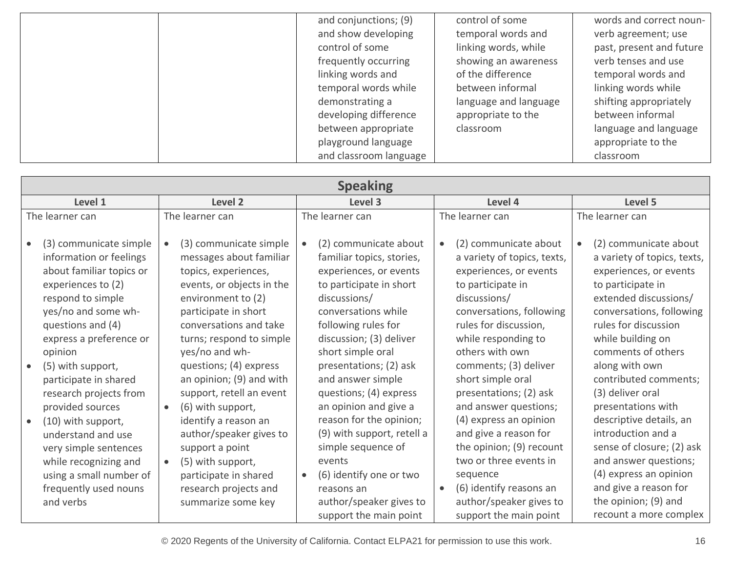| and conjunctions; (9)  | control of some       | words and correct noun-  |
|------------------------|-----------------------|--------------------------|
| and show developing    | temporal words and    | verb agreement; use      |
| control of some        | linking words, while  | past, present and future |
| frequently occurring   | showing an awareness  | verb tenses and use      |
| linking words and      | of the difference     | temporal words and       |
| temporal words while   | between informal      | linking words while      |
| demonstrating a        | language and language | shifting appropriately   |
| developing difference  | appropriate to the    | between informal         |
| between appropriate    | classroom             | language and language    |
| playground language    |                       | appropriate to the       |
| and classroom language |                       | classroom                |

| <b>Speaking</b>                                                                                                                                                                                                                                                                                        |                                                                                                                                                                                                                                                                                                                                                  |                                                                                                                                                                                                                                                                                                                                      |                                                                                                                                                                                                                                                                                                                                  |                                                                                                                                                                                                                                                                                                                               |  |  |  |  |
|--------------------------------------------------------------------------------------------------------------------------------------------------------------------------------------------------------------------------------------------------------------------------------------------------------|--------------------------------------------------------------------------------------------------------------------------------------------------------------------------------------------------------------------------------------------------------------------------------------------------------------------------------------------------|--------------------------------------------------------------------------------------------------------------------------------------------------------------------------------------------------------------------------------------------------------------------------------------------------------------------------------------|----------------------------------------------------------------------------------------------------------------------------------------------------------------------------------------------------------------------------------------------------------------------------------------------------------------------------------|-------------------------------------------------------------------------------------------------------------------------------------------------------------------------------------------------------------------------------------------------------------------------------------------------------------------------------|--|--|--|--|
| Level 1<br>Level 2                                                                                                                                                                                                                                                                                     |                                                                                                                                                                                                                                                                                                                                                  | Level 3                                                                                                                                                                                                                                                                                                                              | Level 4                                                                                                                                                                                                                                                                                                                          | Level 5                                                                                                                                                                                                                                                                                                                       |  |  |  |  |
| The learner can                                                                                                                                                                                                                                                                                        | The learner can                                                                                                                                                                                                                                                                                                                                  | The learner can                                                                                                                                                                                                                                                                                                                      | The learner can                                                                                                                                                                                                                                                                                                                  | The learner can                                                                                                                                                                                                                                                                                                               |  |  |  |  |
| (3) communicate simple<br>information or feelings<br>about familiar topics or<br>experiences to (2)<br>respond to simple<br>yes/no and some wh-<br>questions and (4)<br>express a preference or<br>opinion<br>(5) with support,<br>participate in shared<br>research projects from<br>provided sources | (3) communicate simple<br>messages about familiar<br>topics, experiences,<br>events, or objects in the<br>environment to (2)<br>participate in short<br>conversations and take<br>turns; respond to simple<br>yes/no and wh-<br>questions; (4) express<br>an opinion; (9) and with<br>support, retell an event<br>(6) with support,<br>$\bullet$ | (2) communicate about<br>$\bullet$<br>familiar topics, stories,<br>experiences, or events<br>to participate in short<br>discussions/<br>conversations while<br>following rules for<br>discussion; (3) deliver<br>short simple oral<br>presentations; (2) ask<br>and answer simple<br>questions; (4) express<br>an opinion and give a | (2) communicate about<br>$\bullet$<br>a variety of topics, texts,<br>experiences, or events<br>to participate in<br>discussions/<br>conversations, following<br>rules for discussion,<br>while responding to<br>others with own<br>comments; (3) deliver<br>short simple oral<br>presentations; (2) ask<br>and answer questions; | (2) communicate about<br>$\bullet$<br>a variety of topics, texts,<br>experiences, or events<br>to participate in<br>extended discussions/<br>conversations, following<br>rules for discussion<br>while building on<br>comments of others<br>along with own<br>contributed comments;<br>(3) deliver oral<br>presentations with |  |  |  |  |
| (10) with support,<br>understand and use<br>very simple sentences<br>while recognizing and<br>using a small number of<br>frequently used nouns<br>and verbs                                                                                                                                            | identify a reason an<br>author/speaker gives to<br>support a point<br>(5) with support,<br>participate in shared<br>research projects and<br>summarize some key                                                                                                                                                                                  | reason for the opinion;<br>(9) with support, retell a<br>simple sequence of<br>events<br>(6) identify one or two<br>$\bullet$<br>reasons an<br>author/speaker gives to<br>support the main point                                                                                                                                     | (4) express an opinion<br>and give a reason for<br>the opinion; (9) recount<br>two or three events in<br>sequence<br>(6) identify reasons an<br>$\bullet$<br>author/speaker gives to<br>support the main point                                                                                                                   | descriptive details, an<br>introduction and a<br>sense of closure; (2) ask<br>and answer questions;<br>(4) express an opinion<br>and give a reason for<br>the opinion; (9) and<br>recount a more complex                                                                                                                      |  |  |  |  |

© 2020 Regents of the University of California. Contact ELPA21 for permission to use this work. 16